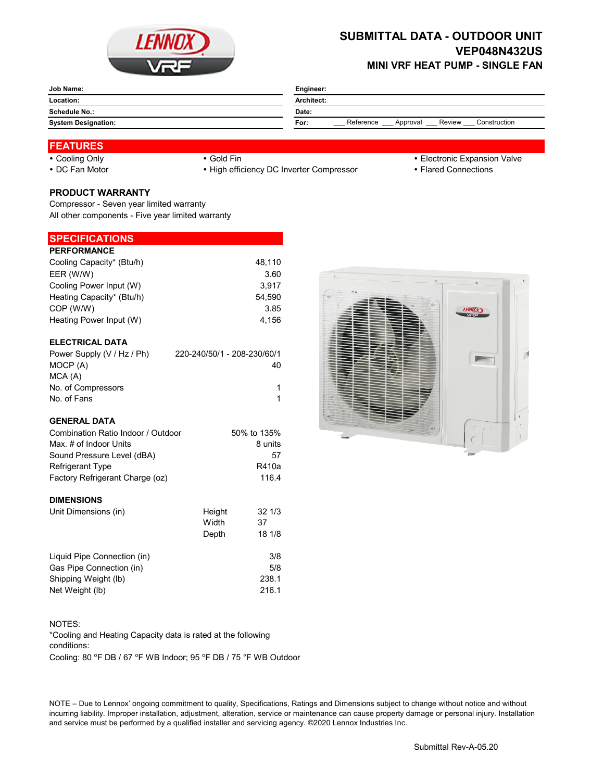

## **SUBMITTAL DATA - OUTDOOR UNIT VEP048N432US MINI VRF HEAT PUMP - SINGLE FAN**

|                            | Engineer:<br>Architect:<br>Date:                        |  |  |
|----------------------------|---------------------------------------------------------|--|--|
| Location:                  |                                                         |  |  |
| Schedule No.:              |                                                         |  |  |
| <b>System Designation:</b> | Reference<br>Construction<br>Review<br>For:<br>Approval |  |  |

# **FEATURES**

- 
- 

• DC Fan Motor **Example 20 Times 19 CONNOTE:** • High efficiency DC Inverter Compressor **Flared Connections** 

- Cooling Only **Cooling Only Gold Fin Gold Fin Cooling Only Electronic Expansion Valve** 
	-

### **PRODUCT WARRANTY**

Compressor - Seven year limited warranty All other components - Five year limited warranty

### **SPECIFICATIONS**

| <b>PERFORMANCE</b>        |        |
|---------------------------|--------|
| Cooling Capacity* (Btu/h) | 48.110 |
| EER (W/W)                 | 3.60   |
| Cooling Power Input (W)   | 3.917  |
| Heating Capacity* (Btu/h) | 54.590 |
| COP (W/W)                 | 3.85   |
| Heating Power Input (W)   | 4.156  |
|                           |        |

### **ELECTRICAL DATA**

| Power Supply (V / Hz / Ph) | 220-240/50/1 - 208-230/60/1 |
|----------------------------|-----------------------------|
| MOCP (A)                   | 40                          |
| MCA (A)                    |                             |
| No. of Compressors         |                             |
| No. of Fans                |                             |

#### **GENERAL DATA**

| Combination Ratio Indoor / Outdoor | 50% to 135% |  |
|------------------------------------|-------------|--|
| Max. # of Indoor Units             | 8 units     |  |
| Sound Pressure Level (dBA)         | 57          |  |
| <b>Refrigerant Type</b>            | R410a       |  |
| Factory Refrigerant Charge (oz)    | 116.4       |  |
|                                    |             |  |

#### **DIMENSIONS**

| Unit Dimensions (in)        | Height | 321/3  |
|-----------------------------|--------|--------|
|                             | Width  | 37     |
|                             | Depth  | 18 1/8 |
| Liquid Pipe Connection (in) |        | 3/8    |
| Gas Pipe Connection (in)    |        | 5/8    |
| Shipping Weight (lb)        |        | 238.1  |
| Net Weight (lb)             |        | 216.1  |



#### NOTES:

\*Cooling and Heating Capacity data is rated at the following conditions:

Cooling: 80 °F DB / 67 °F WB Indoor; 95 °F DB / 75 °F WB Outdoor

NOTE – Due to Lennox' ongoing commitment to quality, Specifications, Ratings and Dimensions subject to change without notice and without incurring liability. Improper installation, adjustment, alteration, service or maintenance can cause property damage or personal injury. Installation and service must be performed by a qualified installer and servicing agency. ©2020 Lennox Industries Inc.